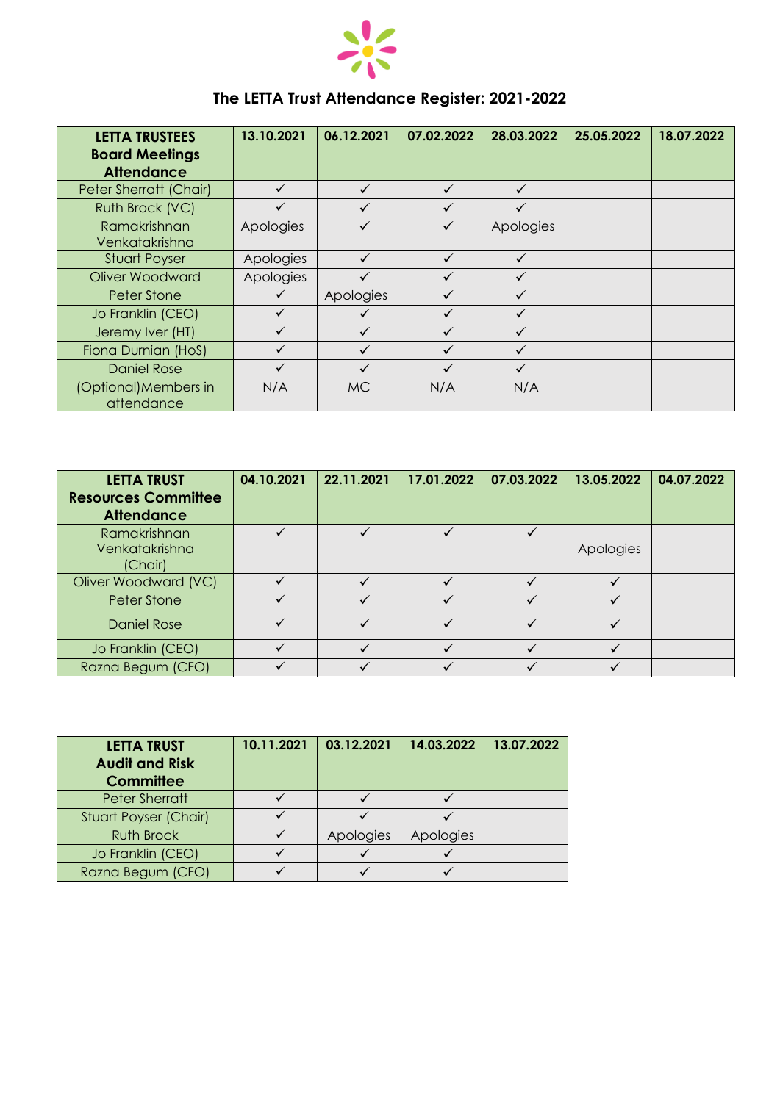

## **The LETTA Trust Attendance Register: 2021-2022**

| <b>LETTA TRUSTEES</b>               | 13.10.2021   | 06.12.2021 | 07.02.2022   | 28.03.2022   | 25.05.2022 | 18.07.2022 |
|-------------------------------------|--------------|------------|--------------|--------------|------------|------------|
| <b>Board Meetings</b>               |              |            |              |              |            |            |
| <b>Attendance</b>                   |              |            |              |              |            |            |
| Peter Sherratt (Chair)              | $\checkmark$ | ✓          | ✓            | $\checkmark$ |            |            |
| Ruth Brock (VC)                     | $\checkmark$ |            |              |              |            |            |
| Ramakrishnan<br>Venkatakrishna      | Apologies    |            |              | Apologies    |            |            |
| <b>Stuart Poyser</b>                | Apologies    | ✓          | $\checkmark$ | ✓            |            |            |
| Oliver Woodward                     | Apologies    |            |              |              |            |            |
| <b>Peter Stone</b>                  | $\checkmark$ | Apologies  |              | $\checkmark$ |            |            |
| Jo Franklin (CEO)                   | $\checkmark$ |            |              |              |            |            |
| Jeremy Iver (HT)                    | ✓            |            |              | $\checkmark$ |            |            |
| Fiona Durnian (HoS)                 | $\checkmark$ |            |              | $\checkmark$ |            |            |
| <b>Daniel Rose</b>                  |              |            |              | ✓            |            |            |
| (Optional) Members in<br>attendance | N/A          | MC.        | N/A          | N/A          |            |            |

| <b>LETTA TRUST</b><br><b>Resources Committee</b><br><b>Attendance</b> | 04.10.2021 | 22.11.2021 | 17.01.2022 | 07.03.2022 | 13.05.2022 | 04.07.2022 |
|-----------------------------------------------------------------------|------------|------------|------------|------------|------------|------------|
| Ramakrishnan                                                          |            |            |            |            |            |            |
| Venkatakrishna                                                        |            |            |            |            | Apologies  |            |
| (Chair)                                                               |            |            |            |            |            |            |
| Oliver Woodward (VC)                                                  |            |            |            |            |            |            |
| Peter Stone                                                           |            |            |            |            |            |            |
| <b>Daniel Rose</b>                                                    |            |            |            |            |            |            |
| Jo Franklin (CEO)                                                     |            |            |            |            |            |            |
| Razna Begum (CFO)                                                     |            |            |            |            |            |            |

| <b>LETTA TRUST</b><br><b>Audit and Risk</b><br><b>Committee</b> | 10.11.2021 | 03.12.2021 | 14.03.2022 | 13.07.2022 |
|-----------------------------------------------------------------|------------|------------|------------|------------|
| <b>Peter Sherratt</b>                                           |            |            |            |            |
| Stuart Poyser (Chair)                                           |            |            |            |            |
| <b>Ruth Brock</b>                                               |            | Apologies  | Apologies  |            |
| Jo Franklin (CEO)                                               |            |            |            |            |
| Razna Begum (CFO)                                               |            |            |            |            |